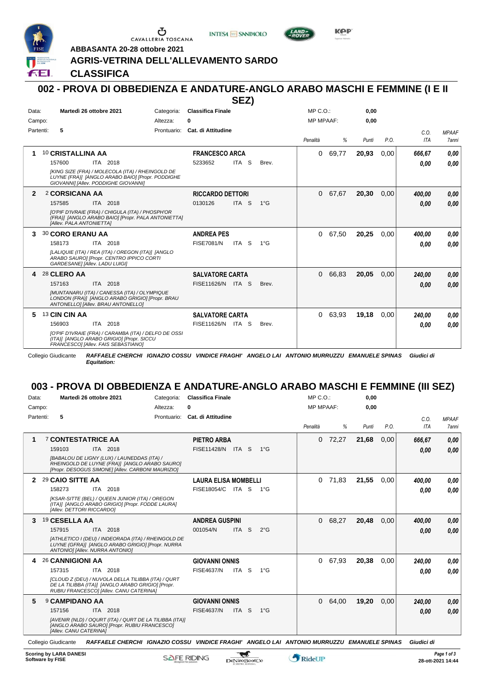

Ⴠ CAVALLERIA TOSCANA





**ABBASANTA 20-28 ottobre 2021**

### **AGRIS-VETRINA DELL'ALLEVAMENTO SARDO**

**CLASSIFICA**

#### **002 - PROVA DI OBBEDIENZA E ANDATURE-ANGLO ARABO MASCHI E FEMMINE (I E II SEZ)**

|              |                                                                                                                                              |             |                          | —————————————————— |               |                  |       |       |      |            |              |
|--------------|----------------------------------------------------------------------------------------------------------------------------------------------|-------------|--------------------------|--------------------|---------------|------------------|-------|-------|------|------------|--------------|
| Data:        | Martedì 26 ottobre 2021                                                                                                                      | Categoria:  | <b>Classifica Finale</b> |                    |               | $MP C. O.$ :     |       | 0,00  |      |            |              |
| Campo:       |                                                                                                                                              | Altezza:    | 0                        |                    |               | <b>MP MPAAF:</b> |       | 0,00  |      |            |              |
| Partenti:    | 5                                                                                                                                            | Prontuario: | Cat. di Attitudine       |                    |               |                  |       |       |      | C.O.       | <b>MPAAF</b> |
|              |                                                                                                                                              |             |                          |                    |               | Penalità         | %     | Punti | P.O. | <b>ITA</b> | 7anni        |
| 1            | 10 CRISTALLINA AA                                                                                                                            |             | <b>FRANCESCO ARCA</b>    |                    |               | 0                | 69,77 | 20,93 | 0,00 | 666,67     | 0.00         |
|              | 157600<br>ITA 2018                                                                                                                           |             | 5233652                  | ITA S              | Brev.         |                  |       |       |      | 0,00       | 0,00         |
|              | [KING SIZE (FRA) / MOLECOLA (ITA) / RHEINGOLD DE<br>LUYNE (FRA)] [ANGLO ARABO BAIO] [Propr. PODDIGHE<br>GIOVANNII [Allev. PODDIGHE GIOVANNI] |             |                          |                    |               |                  |       |       |      |            |              |
| $\mathbf{2}$ | 2 CORSICANA AA                                                                                                                               |             | <b>RICCARDO DETTORI</b>  |                    |               | 0                | 67,67 | 20,30 | 0,00 | 400.00     | 0,00         |
|              | 157585<br>ITA 2018                                                                                                                           |             | 0130126                  | ITA <sub>S</sub>   | $1^{\circ}$ G |                  |       |       |      | 0.00       | 0,00         |
|              | [O'PIF D'IVRAIE (FRA) / CHIGULA (ITA) / PHOSPH'OR<br>(FRA)] [ANGLO ARABO BAIO] [Propr. PALA ANTONIETTA]<br>[Allev. PALA ANTONIETTA]          |             |                          |                    |               |                  |       |       |      |            |              |
| 3            | 30 CORO ERANU AA                                                                                                                             |             | <b>ANDREA PES</b>        |                    |               | 0                | 67,50 | 20,25 | 0,00 | 400,00     | 0.00         |
|              | ITA 2018<br>158173                                                                                                                           |             | <b>FISE7081/N</b>        | ITA S              | $1^{\circ}G$  |                  |       |       |      | 0,00       | 0.00         |
|              | [LALIQUIE (ITA) / REA (ITA) / OREGON (ITA)] [ANGLO<br>ARABO SAURO] [Propr. CENTRO IPPICO CORTI<br>GARDESANE] [Allev. LADU LUIGI]             |             |                          |                    |               |                  |       |       |      |            |              |
| 4            | 28 CLERO AA                                                                                                                                  |             | <b>SALVATORE CARTA</b>   |                    |               | $\Omega$         | 66,83 | 20,05 | 0,00 | 240,00     | 0,00         |
|              | 157163<br>ITA 2018                                                                                                                           |             | FISE11626/N ITA S        |                    | Brev.         |                  |       |       |      | 0.00       | 0.00         |
|              | [MUNTANARU (ITA) / CANESSA (ITA) / OLYMPIQUE<br>LONDON (FRA)] [ANGLO ARABO GRIGIO] [Propr. BRAU<br>ANTONELLO] [Allev. BRAU ANTONELLO]        |             |                          |                    |               |                  |       |       |      |            |              |
| 5            | 13 CIN CIN AA                                                                                                                                |             | <b>SALVATORE CARTA</b>   |                    |               | 0                | 63,93 | 19.18 | 0,00 | 240.00     | 0,00         |
|              | 156903<br>ITA 2018                                                                                                                           |             | FISE11626/N ITA S        |                    | Brev.         |                  |       |       |      | 0.00       | 0,00         |
|              | [O'PIF D'IVRAIE (FRA) / CARAMBA (ITA) / DELFO DE OSSI<br>(ITA)] [ANGLO ARABO GRIGIO] [Propr. SICCU<br>FRANCESCO] [Allev. FAIS SEBASTIANO]    |             |                          |                    |               |                  |       |       |      |            |              |

Collegio Giudicante *RAFFAELE CHERCHI IGNAZIO COSSU VINDICE FRAGHI' ANGELO LAI ANTONIO MURRUZZU EMANUELE SPINAS Giudici di Equitation:*

# **003 - PROVA DI OBBEDIENZA E ANDATURE-ANGLO ARABO MASCHI E FEMMINE (III SEZ)**

| Data: | Martedì 26 ottobre 2021<br>Categoria:                                                                                                              | <b>Classifica Finale</b>                    | $MP C. O.$ :      | 0,00          |            |              |
|-------|----------------------------------------------------------------------------------------------------------------------------------------------------|---------------------------------------------|-------------------|---------------|------------|--------------|
|       | Campo:<br>Altezza:                                                                                                                                 | 0                                           | <b>MP MPAAF:</b>  | 0.00          |            |              |
|       | Partenti:<br>5<br>Prontuario:                                                                                                                      | Cat. di Attitudine                          |                   |               | C.O.       | <b>MPAAF</b> |
|       |                                                                                                                                                    |                                             | Penalità<br>%     | P.O.<br>Punti | <b>ITA</b> | <b>7anni</b> |
| 1     | <b>7 CONTESTATRICE AA</b>                                                                                                                          | <b>PIETRO ARBA</b>                          | 72,27<br>0        | 21,68<br>0.00 | 666.67     | 0.00         |
|       | 159103<br>ITA 2018                                                                                                                                 | <b>FISE11428/N</b><br>ITA S<br>$1^{\circ}G$ |                   |               | 0,00       | 0.00         |
|       | [BABALOU DE LIGNY (LUX) / LAUNEDDAS (ITA) /<br>RHEINGOLD DE LUYNE (FRA)] [ANGLO ARABO SAURO]<br>[Propr. DESOGUS SIMONE] [Allev. CARBONI MAURIZIO]  |                                             |                   |               |            |              |
| 2     | 29 CAIO SITTE AA                                                                                                                                   | <b>LAURA ELISA MOMBELLI</b>                 | 71,83<br>$\Omega$ | 21,55<br>0,00 | 400.00     | 0.00         |
|       | 158273<br>ITA 2018                                                                                                                                 | FISE18054/C ITA S<br>$1^{\circ}G$           |                   |               | 0,00       | 0.00         |
|       | [KSAR-SITTE (BEL) / QUEEN JUNIOR (ITA) / OREGON<br>(ITA)] [ANGLO ARABO GRIGIO] [Propr. FODDE LAURA]<br>[Allev. DETTORI RICCARDO]                   |                                             |                   |               |            |              |
| 3     | 19 CESELLA AA                                                                                                                                      | <b>ANDREA GUSPINI</b>                       | 68,27<br>$\Omega$ | 20.48<br>0.00 | 400.00     | 0.00         |
|       | ITA 2018<br>157915                                                                                                                                 | ITA S<br>$2^{\circ}$ G<br>001054/N          |                   |               | 0.00       | 0.00         |
|       | [ATHLETICO I (DEU) / INDEORADA (ITA) / RHEINGOLD DE<br>LUYNE (GFRA)] [ANGLO ARABO GRIGIO] [Propr. NURRA<br>ANTONIOI [Allev. NURRA ANTONIO]         |                                             |                   |               |            |              |
| 4     | 26 CANNIGIONI AA                                                                                                                                   | <b>GIOVANNI ONNIS</b>                       | 67,93<br>$\Omega$ | 20,38<br>0.00 | 240.00     | 0.00         |
|       | 157315<br>ITA 2018                                                                                                                                 | FISE4637/N<br>ITA S<br>$1^{\circ}$ G        |                   |               | 0,00       | 0.00         |
|       | [CLOUD Z (DEU) / NUVOLA DELLA TILIBBA (ITA) / QURT<br>DE LA TILIBBA (ITA)] [ANGLO ARABO GRIGIO] [Propr.<br>RUBIU FRANCESCO] [Allev. CANU CATERINA] |                                             |                   |               |            |              |
| 5     | <b>9 CAMPIDANO AA</b>                                                                                                                              | <b>GIOVANNI ONNIS</b>                       | 64,00<br>0        | 19,20<br>0,00 | 240,00     | 0,00         |
|       | 157156<br>ITA 2018                                                                                                                                 | <b>FISE4637/N</b><br>ITA S<br>$1^{\circ}$ G |                   |               | 0.00       | 0.00         |
|       | [AVENIR (NLD) / OQURT (ITA) / QURT DE LA TILIBBA (ITA)]<br>[ANGLO ARABO SAURO] [Propr. RUBIU FRANCESCO]<br>[Allev. CANU CATERINA]                  |                                             |                   |               |            |              |
|       | $O = 0.5$ and $O = 0.5$                                                                                                                            |                                             |                   |               |            |              |

Collegio Giudicante *RAFFAELE CHERCHI IGNAZIO COSSU VINDICE FRAGHI' ANGELO LAI ANTONIO MURRUZZU EMANUELE SPINAS Giudici di*

 $\mathcal{L}$ 

*Equitation:*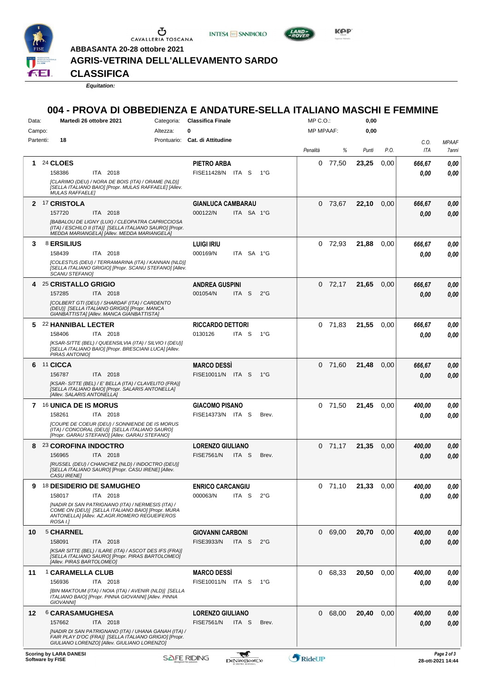

 $\begin{array}{c}\n\bullet \\
\bullet \\
\bullet \\
\bullet\n\end{array}$  CAVALLERIA TOSCANA

**ABBASANTA 20-28 ottobre 2021**

**INTESA M** SANPAOLO



**Kep** 

**AGRIS-VETRINA DELL'ALLEVAMENTO SARDO**

**CLASSIFICA**

*Equitation:*

## **004 - PROVA DI OBBEDIENZA E ANDATURE-SELLA ITALIANO MASCHI E FEMMINE**

| Data:     | Martedì 26 ottobre 2021<br>Categoria:                                                                                       | <b>Classifica Finale</b>          |                  |               | $MP C. O.$ :     |           | 0,00  |      |        |                     |
|-----------|-----------------------------------------------------------------------------------------------------------------------------|-----------------------------------|------------------|---------------|------------------|-----------|-------|------|--------|---------------------|
| Campo:    | Altezza:                                                                                                                    | 0                                 |                  |               | <b>MP MPAAF:</b> |           | 0,00  |      |        |                     |
| Partenti: | 18                                                                                                                          | Prontuario: Cat. di Attitudine    |                  |               |                  |           |       |      | C.O.   | MPAAF               |
|           |                                                                                                                             |                                   |                  |               | Penalità         | %         | Punti | P.O. | ITA    | <i><b>7anni</b></i> |
| 1.        | <b>24 CLOES</b>                                                                                                             | <b>PIETRO ARBA</b>                |                  |               |                  | $0$ 77,50 | 23,25 | 0,00 | 666,67 | 0,00                |
|           | 158386<br>ITA 2018                                                                                                          | FISE11428/N ITA S                 |                  | $1^{\circ}G$  |                  |           |       |      | 0.00   | 0.00                |
|           | [CLARIMO (DEU) / NORA DE BOIS (ITA) / ORAME (NLD)]                                                                          |                                   |                  |               |                  |           |       |      |        |                     |
|           | [SELLA ITALIANO BAIO] [Propr. MULAS RAFFAELE] [Allev.<br><b>MULAS RAFFAELE]</b>                                             |                                   |                  |               |                  |           |       |      |        |                     |
|           | 2 <sup>17</sup> CRISTOLA                                                                                                    | <b>GIANLUCA CAMBARAU</b>          |                  |               |                  | 0 73,67   | 22,10 | 0,00 | 666,67 | 0,00                |
|           | 157720<br>ITA 2018                                                                                                          | 000122/N                          | ITA SA 1°G       |               |                  |           |       |      | 0,00   | 0,00                |
|           | [BABALOU DE LIGNY (LUX) / CLEOPATRA CAPRICCIOSA                                                                             |                                   |                  |               |                  |           |       |      |        |                     |
|           | (ITA) / ESCHILO II (ITA)] [SELLA ITALIANO SAURO] [Propr.<br>MEDDA MARIANGELA] [Allev. MEDDA MARIANGELA]                     |                                   |                  |               |                  |           |       |      |        |                     |
| 3         | <b>8 ERSILIUS</b>                                                                                                           | <b>LUIGI IRIU</b>                 |                  |               |                  | $0$ 72,93 | 21,88 | 0,00 | 666,67 | 0,00                |
|           | 158439<br>ITA 2018                                                                                                          | 000169/N                          | ITA SA 1°G       |               |                  |           |       |      | 0.00   | 0.00                |
|           | [COLESTUS (DEU) / TERRAMARINA (ITA) / KANNAN (NLD)]                                                                         |                                   |                  |               |                  |           |       |      |        |                     |
|           | [SELLA ITALIANO GRIGIO] [Propr. SCANU STEFANO] [Allev.<br>SCANU STEFANO]                                                    |                                   |                  |               |                  |           |       |      |        |                     |
| 4         | 25 CRISTALLO GRIGIO                                                                                                         |                                   |                  |               |                  | $0$ 72,17 | 21,65 |      |        |                     |
|           | 157285<br>ITA 2018                                                                                                          | <b>ANDREA GUSPINI</b><br>001054/N | ITA S            | $2^{\circ}$ G |                  |           |       | 0,00 | 666,67 | 0,00                |
|           | [COLBERT GTI (DEU) / SHARDAF (ITA) / CARDENTO                                                                               |                                   |                  |               |                  |           |       |      | 0,00   | 0,00                |
|           | (DEU)] [SELLA ITALIANO GRIGIO] [Propr. MANCA                                                                                |                                   |                  |               |                  |           |       |      |        |                     |
|           | GIANBATTISTA] [Allev. MANCA GIANBATTISTA]                                                                                   |                                   |                  |               |                  |           |       |      |        |                     |
| 5.        | 22 HANNIBAL LECTER                                                                                                          | <b>RICCARDO DETTORI</b>           |                  |               |                  | $0$ 71.83 | 21,55 | 0.00 | 666,67 | 0,00                |
|           | 158406<br>ITA 2018<br>[KSAR-SITTE (BEL) / QUEENSILVIA (ITA) / SILVIO I (DEU)]                                               | 0130126                           | ITA S            | 1°G           |                  |           |       |      | 0.00   | 0,00                |
|           | [SELLA ITALIANO BAIO] [Propr. BRESCIANI LUCA] [Allev.                                                                       |                                   |                  |               |                  |           |       |      |        |                     |
|           | PIRAS ANTONIOI                                                                                                              |                                   |                  |               |                  |           |       |      |        |                     |
| 6         | 11 CICCA                                                                                                                    | <b>MARCO DESSÌ</b>                |                  |               | 0                | 71,60     | 21,48 | 0,00 | 666,67 | 0,00                |
|           | 156787<br>ITA 2018                                                                                                          | FISE10011/N ITA S                 |                  | $1^{\circ}G$  |                  |           |       |      | 0.00   | 0.00                |
|           | [KSAR-SITTE (BEL) / E' BELLA (ITA) / CLAVELITO (FRA)]<br>[SELLA ITALIANO BAIO] [Propr. SALARIS ANTONELLA]                   |                                   |                  |               |                  |           |       |      |        |                     |
|           | [Allev. SALARIS ANTONELLA]                                                                                                  |                                   |                  |               |                  |           |       |      |        |                     |
|           | 7 16 UNICA DE IS MORUS                                                                                                      | <b>GIACOMO PISANO</b>             |                  |               |                  | $0$ 71,50 | 21,45 | 0.00 | 400,00 | 0,00                |
|           | 158261<br>ITA 2018                                                                                                          | FISE14373/N ITA S                 |                  | Brev.         |                  |           |       |      | 0.00   | 0.00                |
|           | [COUPE DE COEUR (DEU) / SONNIENDE DE IS MORUS<br>(ITA) / CONCORAL (DEU)] [SELLA ITALIANO SAURO]                             |                                   |                  |               |                  |           |       |      |        |                     |
|           | [Propr. GARAU STEFANO] [Allev. GARAU STEFANO]                                                                               |                                   |                  |               |                  |           |       |      |        |                     |
| 8         | 23 COROFINA INDOCTRO                                                                                                        | <b>LORENZO GIULIANO</b>           |                  |               |                  | $0$ 71,17 | 21,35 | 0,00 | 400,00 | 0,00                |
|           | 156965<br>ITA 2018                                                                                                          | <b>FISE7561/N</b>                 | ITA S            | Brev.         |                  |           |       |      | 0,00   | 0,00                |
|           | [RUSSEL (DEU) / CHANCHEZ (NLD) / INDOCTRO (DEU)]<br>[SELLA ITALIANO SAURO] [Propr. CASU IRENE] [Allev.                      |                                   |                  |               |                  |           |       |      |        |                     |
|           | <b>CASU IRENEI</b>                                                                                                          |                                   |                  |               |                  |           |       |      |        |                     |
|           | 9 18 DESIDERIO DE SAMUGHEO                                                                                                  | <b>ENRICO CARCANGIU</b>           |                  |               |                  | $0$ 71.10 | 21.33 | 0,00 | 400,00 | 0,00                |
|           | 158017<br>ITA 2018                                                                                                          | 000063/N                          | ITA <sub>S</sub> | $2^{\circ}$ G |                  |           |       |      | 0.00   | 0,00                |
|           | [NADIR DI SAN PATRIGNANO (ITA) / NERMESIS (ITA) /<br>COME ON (DEU)] [SELLA ITALIANO BAIO] [Propr. MURA                      |                                   |                  |               |                  |           |       |      |        |                     |
|           | ANTONELLA] [Allev. AZ.AGR.ROMERO REGUEIFEROS                                                                                |                                   |                  |               |                  |           |       |      |        |                     |
|           | ROSA I.]                                                                                                                    |                                   |                  |               |                  |           |       |      |        |                     |
| 10        | <b>5 CHARNEL</b>                                                                                                            | <b>GIOVANNI CARBONI</b>           |                  |               |                  | 0 69,00   | 20,70 | 0,00 | 400,00 | 0,00                |
|           | 158091<br>ITA 2018                                                                                                          | FISE3933/N                        | ITA S            | $2^{\circ}$ G |                  |           |       |      | 0.00   | 0.00                |
|           | [KSAR SITTE (BEL) / ILARE (ITA) / ASCOT DES IFS (FRA)]<br>[SELLA ITALIANO SAURO] [Propr. PIRAS BARTOLOMEO]                  |                                   |                  |               |                  |           |       |      |        |                     |
|           | [Allev. PIRAS BARTOLOMEO]                                                                                                   |                                   |                  |               |                  |           |       |      |        |                     |
| 11        | 1 CARAMELLA CLUB                                                                                                            | <b>MARCO DESSI</b>                |                  |               |                  | 0 68,33   | 20,50 | 0,00 | 400,00 | 0,00                |
|           | 156936<br>ITA 2018                                                                                                          | FISE10011/N ITA S                 |                  | $1^{\circ}G$  |                  |           |       |      | 0.00   | 0,00                |
|           | [BIN MAKTOUM (ITA) / NOIA (ITA) / AVENIR (NLD)] [SELLA<br>ITALIANO BAIO] [Propr. PINNA GIOVANNI] [Allev. PINNA<br>GIOVANNI] |                                   |                  |               |                  |           |       |      |        |                     |
| 12        | <b>6 CARASAMUGHESA</b>                                                                                                      | <b>LORENZO GIULIANO</b>           |                  |               |                  | 0 68,00   | 20,40 | 0,00 | 400,00 | 0,00                |
|           | ITA 2018<br>157662                                                                                                          | <b>FISE7561/N</b>                 | ITA S            | Brev.         |                  |           |       |      | 0.00   | 0.00                |
|           | [NADIR DI SAN PATRIGNANO (ITA) / UHANA GANAH (ITA) /                                                                        |                                   |                  |               |                  |           |       |      |        |                     |
|           | FAIR PLAY D'OC (FRA)] [SELLA ITALIANO GRIGIO] [Propr.<br>GIULIANO LORENZO] [Allev. GIULIANO LORENZO]                        |                                   |                  |               |                  |           |       |      |        |                     |
|           | <b>Scoring by LARA DANESI</b><br><b>SAFE RIDING</b>                                                                         |                                   | $\mathbf{r}$     |               | RideUP           |           |       |      |        | Page 2 of 3         |
|           | Software by FISE                                                                                                            |                                   | DeNiroBootCo     |               |                  |           |       |      |        | 28-ott-2021 14:44   |